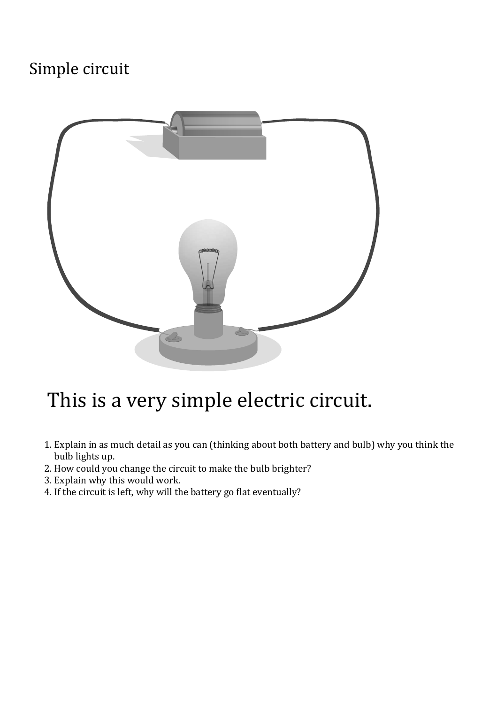## Simple circuit



## This is a very simple electric circuit.

- 1. Explain in as much detail as you can (thinking about both battery and bulb) why you think the bulb lights up.
- 2. How could you change the circuit to make the bulb brighter?
- 3. Explain why this would work.
- 4. If the circuit is left, why will the battery go flat eventually?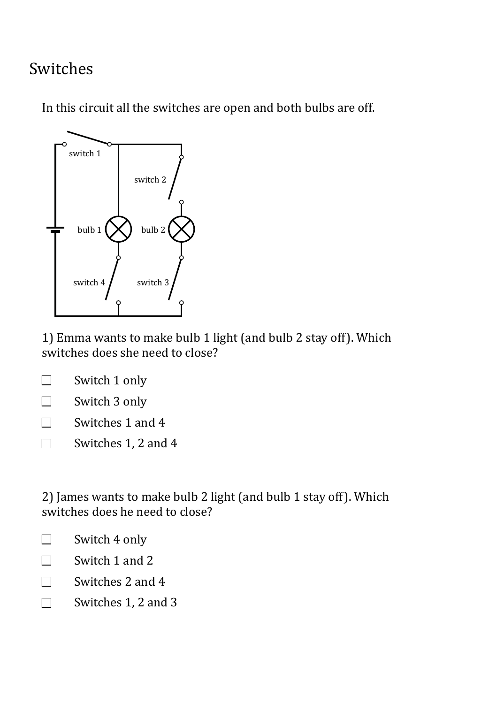## Switches

In this circuit all the switches are open and both bulbs are off.



1) Emma wants to make bulb 1 light (and bulb 2 stay off). Which switches does she need to close?

| Switch 1 only |  |
|---------------|--|
|               |  |

Switch 3 only  $\Box$ 

 $\Box$ Switches 1 and 4

Switches 1, 2 and 4  $\Box$ 

2) James wants to make bulb 2 light (and bulb 1 stay off). Which switches does he need to close?

- Switch 4 only  $\Box$
- Switch 1 and 2  $\Box$
- Switches 2 and 4  $\Box$
- $\Box$ Switches 1, 2 and 3